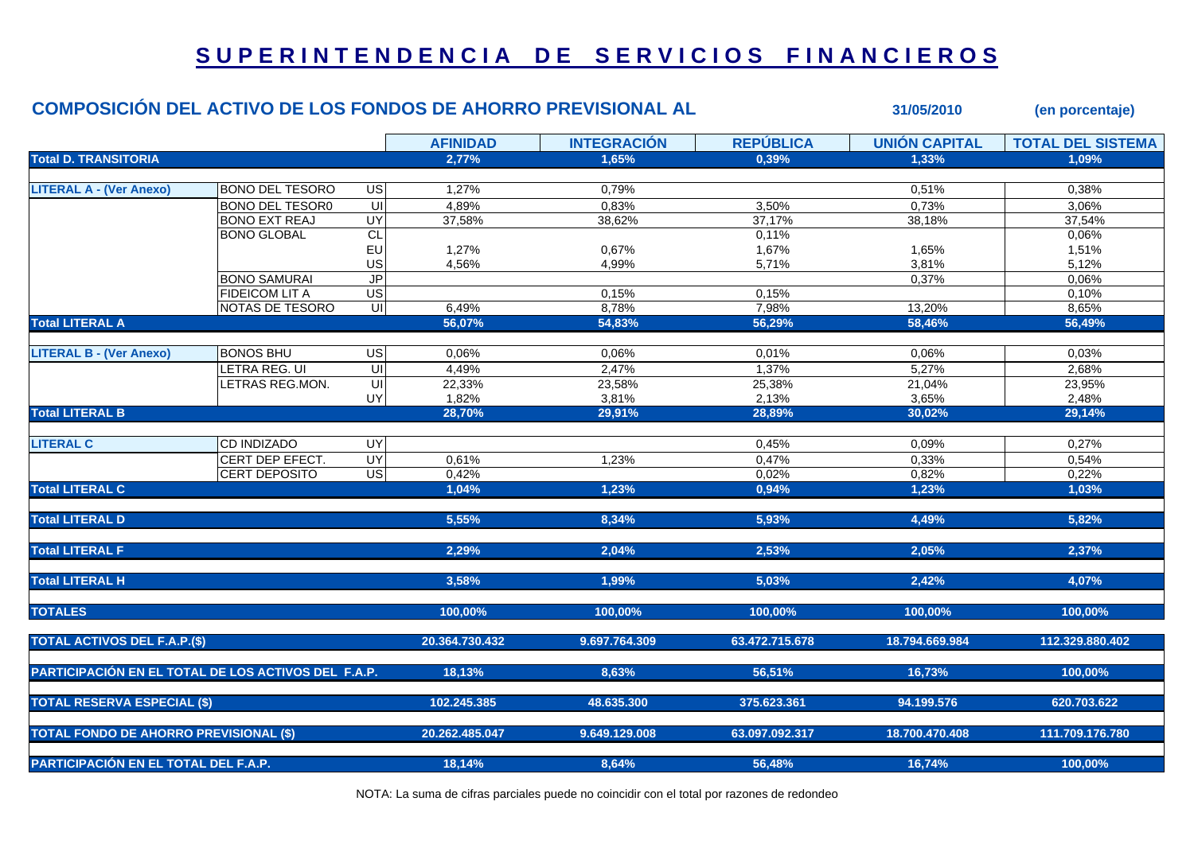## **S U P E R I N T E N D E N C I A D E S E R V I C I O S F I N A N C I E R O S**

|                                                     | COMPOSICIÓN DEL ACTIVO DE LOS FONDOS DE AHORRO PREVISIONAL AL |                |                 |                    |                  | 31/05/2010           | (en porcentaje)          |
|-----------------------------------------------------|---------------------------------------------------------------|----------------|-----------------|--------------------|------------------|----------------------|--------------------------|
|                                                     |                                                               |                | <b>AFINIDAD</b> | <b>INTEGRACIÓN</b> | <b>REPÚBLICA</b> | <b>UNIÓN CAPITAL</b> | <b>TOTAL DEL SISTEMA</b> |
| <b>Total D. TRANSITORIA</b>                         |                                                               |                | 2,77%           | 1.65%              | 0.39%            | 1.33%                | 1.09%                    |
|                                                     |                                                               |                |                 |                    |                  |                      |                          |
| <b>LITERAL A - (Ver Anexo)</b>                      | <b>BONO DEL TESORO</b>                                        | US             | 1,27%           | 0,79%              |                  | 0,51%                | 0,38%                    |
|                                                     | <b>BONO DEL TESOR0</b>                                        | $\subseteq$    | 4,89%           | 0,83%              | 3,50%            | 0,73%                | 3,06%                    |
|                                                     | <b>BONO EXT REAJ</b>                                          | UY             | 37,58%          | 38,62%             | 37,17%           | 38,18%               | 37,54%                   |
|                                                     | <b>BONO GLOBAL</b>                                            | CL             |                 |                    | 0,11%            |                      | 0,06%                    |
|                                                     |                                                               | EU             | 1,27%           | 0,67%              | 1,67%            | 1,65%                | 1,51%                    |
|                                                     |                                                               | US             | 4,56%           | 4,99%              | 5,71%            | 3,81%                | 5,12%                    |
|                                                     | <b>BONO SAMURAI</b>                                           | <b>JP</b>      |                 |                    |                  | 0,37%                | 0,06%                    |
|                                                     | FIDEICOM LIT A                                                | US             |                 | 0,15%              | 0,15%            |                      | 0,10%                    |
|                                                     | NOTAS DE TESORO                                               | UI             | 6,49%           | 8,78%              | 7,98%            | 13,20%<br>58,46%     | 8,65%                    |
| <b>Total LITERAL A</b>                              |                                                               |                | 56,07%          | 54,83%             | 56,29%           |                      | 56,49%                   |
| <b>LITERAL B - (Ver Anexo)</b>                      | <b>BONOS BHU</b>                                              | $\overline{C}$ | 0,06%           | 0,06%              | 0,01%            | 0,06%                | 0,03%                    |
|                                                     | LETRA REG. UI                                                 | $\equiv$       | 4,49%           | 2,47%              | 1,37%            | 5,27%                | 2,68%                    |
|                                                     | LETRAS REG.MON.                                               | UI             | 22,33%          | 23,58%             | 25,38%           | 21,04%               | 23,95%                   |
|                                                     |                                                               | UY             | 1,82%           | 3,81%              | 2,13%            | 3,65%                | 2,48%                    |
| <b>Total LITERAL B</b>                              |                                                               |                | 28,70%          | 29,91%             | 28,89%           | 30,02%               | 29,14%                   |
|                                                     |                                                               |                |                 |                    |                  |                      |                          |
| <b>LITERAL C</b>                                    | CD INDIZADO                                                   | UY             |                 |                    | 0,45%            | 0,09%                | 0,27%                    |
|                                                     | CERT DEP EFECT.                                               | <b>UY</b>      | 0,61%           | 1,23%              | 0,47%            | 0,33%                | 0,54%                    |
|                                                     | CERT DEPOSITO                                                 | US             | 0,42%           |                    | 0,02%            | 0,82%                | 0,22%                    |
| <b>Total LITERAL C</b>                              |                                                               |                | 1,04%           | 1,23%              | 0,94%            | 1,23%                | 1,03%                    |
| <b>Total LITERAL D</b>                              |                                                               |                | 5,55%           | 8,34%              | 5,93%            | 4,49%                | 5,82%                    |
|                                                     |                                                               |                |                 |                    |                  |                      |                          |
| <b>Total LITERAL F</b>                              |                                                               |                | 2,29%           | 2,04%              | 2,53%            | 2,05%                | 2,37%                    |
| <b>Total LITERAL H</b>                              |                                                               |                | 3,58%           | 1,99%              | 5,03%            | 2,42%                | 4,07%                    |
| <b>TOTALES</b>                                      |                                                               |                | 100,00%         | 100,00%            | 100,00%          | 100,00%              | 100,00%                  |
| <b>TOTAL ACTIVOS DEL F.A.P.(\$)</b>                 |                                                               |                | 20.364.730.432  | 9.697.764.309      | 63.472.715.678   | 18.794.669.984       | 112.329.880.402          |
| PARTICIPACIÓN EN EL TOTAL DE LOS ACTIVOS DEL F.A.P. |                                                               |                | 18,13%          | 8,63%              | 56,51%           | 16,73%               | 100,00%                  |
| <b>TOTAL RESERVA ESPECIAL (\$)</b>                  |                                                               |                | 102.245.385     | 48.635.300         | 375.623.361      | 94.199.576           | 620.703.622              |
| <b>TOTAL FONDO DE AHORRO PREVISIONAL (\$)</b>       |                                                               |                | 20.262.485.047  | 9.649.129.008      | 63.097.092.317   | 18.700.470.408       | 111.709.176.780          |
| PARTICIPACIÓN EN EL TOTAL DEL F.A.P.                |                                                               | 18,14%         | 8,64%           | 56,48%             | 16,74%           | 100,00%              |                          |

NOTA: La suma de cifras parciales puede no coincidir con el total por razones de redondeo